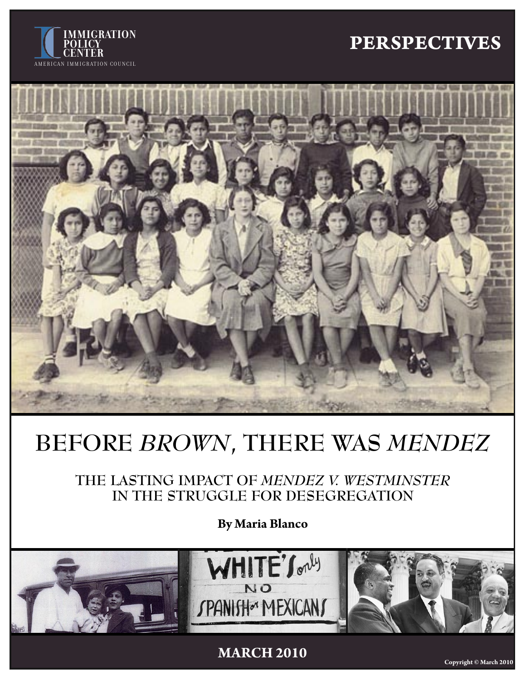## **MIGRATION**<br>LICY **PERSPECTIVES**





# **BEFORE** *BROWN***, THERE WAS** *MENDEZ*

**THE LASTING IMPACT OF** *MENDEZ V. WESTMINSTER*  **IN THE STRUGGLE FOR DESEGREGATION**

**By Maria Blanco**



**MARCH 2010**

**Copyright © March 2010**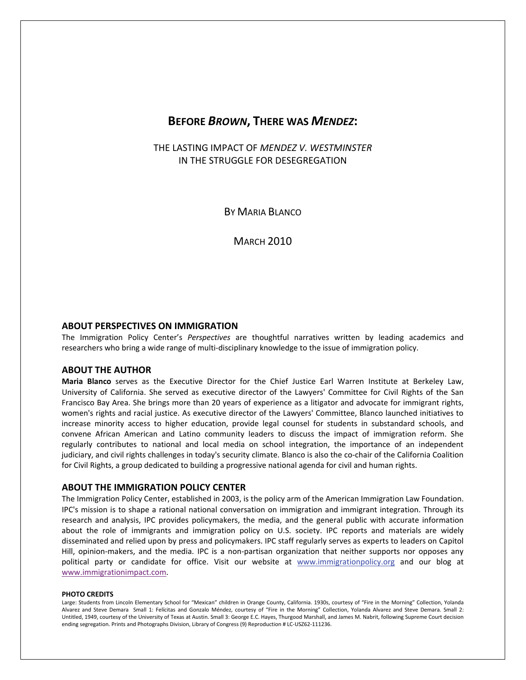### **BEFORE** *BROWN***, THERE WAS** *MENDEZ***:**

THE LASTING IMPACT OF *MENDEZ V. WESTMINSTER* IN THE STRUGGLE FOR DESEGREGATION

BY MARIA BLANCO

**MARCH 2010** 

### **ABOUT PERSPECTIVES ON IMMIGRATION**

The Immigration Policy Center's *Perspectives* are thoughtful narratives written by leading academics and researchers who bring a wide range of multi‐disciplinary knowledge to the issue of immigration policy.

### **ABOUT THE AUTHOR**

**Maria Blanco** serves as the Executive Director for the Chief Justice Earl Warren Institute at Berkeley Law, University of California. She served as executive director of the Lawyers' Committee for Civil Rights of the San Francisco Bay Area. She brings more than 20 years of experience as a litigator and advocate for immigrant rights, women's rights and racial justice. As executive director of the Lawyers' Committee, Blanco launched initiatives to increase minority access to higher education, provide legal counsel for students in substandard schools, and convene African American and Latino community leaders to discuss the impact of immigration reform. She regularly contributes to national and local media on school integration, the importance of an independent judiciary, and civil rights challenges in today's security climate. Blanco is also the co-chair of the California Coalition for Civil Rights, a group dedicated to building a progressive national agenda for civil and human rights.

### **ABOUT THE IMMIGRATION POLICY CENTER**

The Immigration Policy Center, established in 2003, is the policy arm of the American Immigration Law Foundation. IPC's mission is to shape a rational national conversation on immigration and immigrant integration. Through its research and analysis, IPC provides policymakers, the media, and the general public with accurate information about the role of immigrants and immigration policy on U.S. society. IPC reports and materials are widely disseminated and relied upon by press and policymakers. IPC staff regularly serves as experts to leaders on Capitol Hill, opinion-makers, and the media. IPC is a non-partisan organization that neither supports nor opposes any political party or candidate for office. Visit our website at www.immigrationpolicy.org and our blog at www.immigrationimpact.com.

#### **PHOTO CREDITS**

Large: Students from Lincoln Elementary School for "Mexican" children in Orange County, California. 1930s, courtesy of "Fire in the Morning" Collection, Yolanda Alvarez and Steve Demara Small 1: Felícitas and Gonzalo Méndez, courtesy of "Fire in the Morning" Collection, Yolanda Alvarez and Steve Demara. Small 2: Untitled, 1949, courtesy of the University of Texas at Austin. Small 3: George E.C. Hayes, Thurgood Marshall, and James M. Nabrit, following Supreme Court decision ending segregation. Prints and Photographs Division, Library of Congress (9) Reproduction # LC‐USZ62‐111236.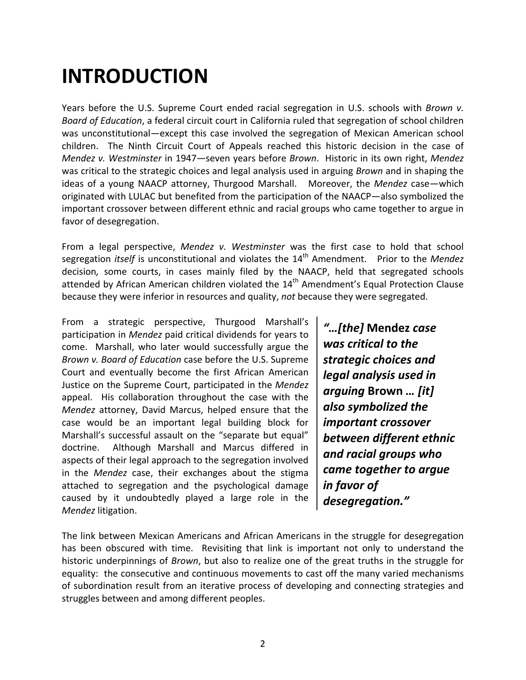### **INTRODUCTION**

Years before the U.S. Supreme Court ended racial segregation in U.S. schools with *Brown v. Board of Education*, a federal circuit court in California ruled that segregation of school children was unconstitutional—except this case involved the segregation of Mexican American school children. The Ninth Circuit Court of Appeals reached this historic decision in the case of *Mendez v. Westminster* in 1947—seven years before *Brown*. Historic in its own right, *Mendez* was critical to the strategic choices and legal analysis used in arguing *Brown* and in shaping the ideas of a young NAACP attorney, Thurgood Marshall. Moreover, the *Mendez* case—which originated with LULAC but benefited from the participation of the NAACP—also symbolized the important crossover between different ethnic and racial groups who came together to argue in favor of desegregation.

From a legal perspective, *Mendez v. Westminster* was the first case to hold that school segregation *itself* is unconstitutional and violates the 14th Amendment. Prior to the *Mendez* decision*,* some courts, in cases mainly filed by the NAACP, held that segregated schools attended by African American children violated the  $14<sup>th</sup>$  Amendment's Equal Protection Clause because they were inferior in resources and quality, *not* because they were segregated.

From a strategic perspective, Thurgood Marshall's participation in *Mendez* paid critical dividends for years to come. Marshall, who later would successfully argue the *Brown v. Board of Education* case before the U.S. Supreme Court and eventually become the first African American Justice on the Supreme Court, participated in the *Mendez* appeal. His collaboration throughout the case with the *Mendez* attorney, David Marcus, helped ensure that the case would be an important legal building block for Marshall's successful assault on the "separate but equal" doctrine. Although Marshall and Marcus differed in aspects of their legal approach to the segregation involved in the *Mendez* case, their exchanges about the stigma attached to segregation and the psychological damage caused by it undoubtedly played a large role in the *Mendez* litigation.

*"…[the]* **Mendez** *case was critical to the strategic choices and legal analysis used in arguing* **Brown** *… [it] also symbolized the important crossover between different ethnic and racial groups who came together to argue in favor of desegregation."*

The link between Mexican Americans and African Americans in the struggle for desegregation has been obscured with time. Revisiting that link is important not only to understand the historic underpinnings of *Brown*, but also to realize one of the great truths in the struggle for equality: the consecutive and continuous movements to cast off the many varied mechanisms of subordination result from an iterative process of developing and connecting strategies and struggles between and among different peoples.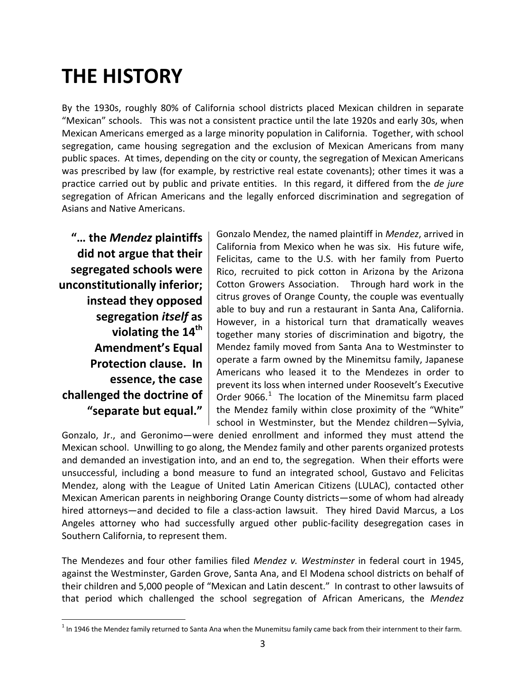# **THE HISTORY**

By the 1930s, roughly 80% of California school districts placed Mexican children in separate "Mexican" schools. This was not a consistent practice until the late 1920s and early 30s, when Mexican Americans emerged as a large minority population in California. Together, with school segregation, came housing segregation and the exclusion of Mexican Americans from many public spaces. At times, depending on the city or county, the segregation of Mexican Americans was prescribed by law (for example, by restrictive real estate covenants); other times it was a practice carried out by public and private entities. In this regard, it differed from the *de jure* segregation of African Americans and the legally enforced discrimination and segregation of Asians and Native Americans.

**"… the** *Mendez* **plaintiffs did not argue that their segregated schools were unconstitutionally inferior; instead they opposed segregation** *itself* **as violating the 14th Amendment's Equal Protection clause. In essence, the case challenged the doctrine of "separate but equal."** 

1

Gonzalo Mendez, the named plaintiff in *Mendez*, arrived in California from Mexico when he was six. His future wife, Felicitas, came to the U.S. with her family from Puerto Rico, recruited to pick cotton in Arizona by the Arizona Cotton Growers Association. Through hard work in the citrus groves of Orange County, the couple was eventually able to buy and run a restaurant in Santa Ana, California. However, in a historical turn that dramatically weaves together many stories of discrimination and bigotry, the Mendez family moved from Santa Ana to Westminster to operate a farm owned by the Minemitsu family, Japanese Americans who leased it to the Mendezes in order to prevent its loss when interned under Roosevelt's Executive Order  $9066.<sup>1</sup>$  $9066.<sup>1</sup>$  $9066.<sup>1</sup>$  The location of the Minemitsu farm placed the Mendez family within close proximity of the "White" school in Westminster, but the Mendez children—Sylvia,

Gonzalo, Jr., and Geronimo—were denied enrollment and informed they must attend the Mexican school. Unwilling to go along, the Mendez family and other parents organized protests and demanded an investigation into, and an end to, the segregation. When their efforts were unsuccessful, including a bond measure to fund an integrated school, Gustavo and Felicitas Mendez, along with the League of United Latin American Citizens (LULAC), contacted other Mexican American parents in neighboring Orange County districts—some of whom had already hired attorneys—and decided to file a class-action lawsuit. They hired David Marcus, a Los Angeles attorney who had successfully argued other public‐facility desegregation cases in Southern California, to represent them.

The Mendezes and four other families filed *Mendez v. Westminster* in federal court in 1945, against the Westminster, Garden Grove, Santa Ana, and El Modena school districts on behalf of their children and 5,000 people of "Mexican and Latin descent." In contrast to other lawsuits of that period which challenged the school segregation of African Americans, the *Mendez*

<span id="page-3-0"></span> $1$  In 1946 the Mendez family returned to Santa Ana when the Munemitsu family came back from their internment to their farm.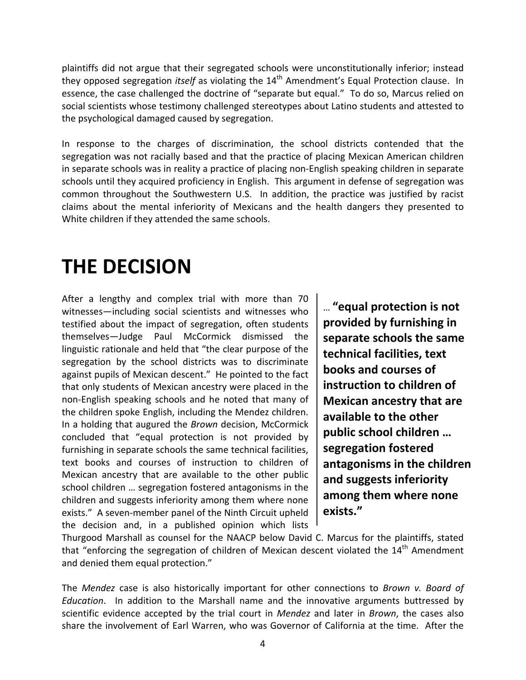plaintiffs did not argue that their segregated schools were unconstitutionally inferior; instead they opposed segregation *itself* as violating the 14th Amendment's Equal Protection clause. In essence, the case challenged the doctrine of "separate but equal." To do so, Marcus relied on social scientists whose testimony challenged stereotypes about Latino students and attested to the psychological damaged caused by segregation.

In response to the charges of discrimination, the school districts contended that the segregation was not racially based and that the practice of placing Mexican American children in separate schools was in reality a practice of placing non‐English speaking children in separate schools until they acquired proficiency in English. This argument in defense of segregation was common throughout the Southwestern U.S. In addition, the practice was justified by racist claims about the mental inferiority of Mexicans and the health dangers they presented to White children if they attended the same schools.

### **THE DECISION**

After a lengthy and complex trial with more than 70 witnesses—including social scientists and witnesses who testified about the impact of segregation, often students themselves—Judge Paul McCormick dismissed the linguistic rationale and held that "the clear purpose of the segregation by the school districts was to discriminate against pupils of Mexican descent." He pointed to the fact that only students of Mexican ancestry were placed in the non‐English speaking schools and he noted that many of the children spoke English, including the Mendez children. In a holding that augured the *Brown* decision, McCormick concluded that "equal protection is not provided by furnishing in separate schools the same technical facilities, text books and courses of instruction to children of Mexican ancestry that are available to the other public school children … segregation fostered antagonisms in the children and suggests inferiority among them where none exists." A seven‐member panel of the Ninth Circuit upheld the decision and, in a published opinion which lists

… **"equal protection is not provided by furnishing in separate schools the same technical facilities, text books and courses of instruction to children of Mexican ancestry that are available to the other public school children … segregation fostered antagonisms in the children and suggests inferiority among them where none exists."**

Thurgood Marshall as counsel for the NAACP below David C. Marcus for the plaintiffs, stated that "enforcing the segregation of children of Mexican descent violated the  $14<sup>th</sup>$  Amendment and denied them equal protection."

The *Mendez* case is also historically important for other connections to *Brown v. Board of Education*. In addition to the Marshall name and the innovative arguments buttressed by scientific evidence accepted by the trial court in *Mendez* and later in *Brown*, the cases also share the involvement of Earl Warren, who was Governor of California at the time. After the